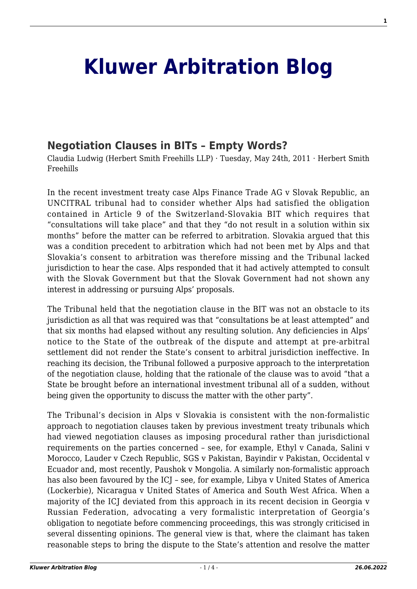## **[Kluwer Arbitration Blog](http://arbitrationblog.kluwerarbitration.com/)**

## **[Negotiation Clauses in BITs – Empty Words?](http://arbitrationblog.kluwerarbitration.com/2011/05/24/negotiation-clauses-in-bits-empty-words/)**

Claudia Ludwig (Herbert Smith Freehills LLP) · Tuesday, May 24th, 2011 · Herbert Smith Freehills

In the recent investment treaty case Alps Finance Trade AG v Slovak Republic, an UNCITRAL tribunal had to consider whether Alps had satisfied the obligation contained in Article 9 of the Switzerland-Slovakia BIT which requires that "consultations will take place" and that they "do not result in a solution within six months" before the matter can be referred to arbitration. Slovakia argued that this was a condition precedent to arbitration which had not been met by Alps and that Slovakia's consent to arbitration was therefore missing and the Tribunal lacked jurisdiction to hear the case. Alps responded that it had actively attempted to consult with the Slovak Government but that the Slovak Government had not shown any interest in addressing or pursuing Alps' proposals.

The Tribunal held that the negotiation clause in the BIT was not an obstacle to its jurisdiction as all that was required was that "consultations be at least attempted" and that six months had elapsed without any resulting solution. Any deficiencies in Alps' notice to the State of the outbreak of the dispute and attempt at pre-arbitral settlement did not render the State's consent to arbitral jurisdiction ineffective. In reaching its decision, the Tribunal followed a purposive approach to the interpretation of the negotiation clause, holding that the rationale of the clause was to avoid "that a State be brought before an international investment tribunal all of a sudden, without being given the opportunity to discuss the matter with the other party".

The Tribunal's decision in Alps v Slovakia is consistent with the non-formalistic approach to negotiation clauses taken by previous investment treaty tribunals which had viewed negotiation clauses as imposing procedural rather than jurisdictional requirements on the parties concerned – see, for example, Ethyl v Canada, Salini v Morocco, Lauder v Czech Republic, SGS v Pakistan, Bayindir v Pakistan, Occidental v Ecuador and, most recently, Paushok v Mongolia. A similarly non-formalistic approach has also been favoured by the ICJ – see, for example, Libya v United States of America (Lockerbie), Nicaragua v United States of America and South West Africa. When a majority of the ICJ deviated from this approach in its recent decision in Georgia v Russian Federation, advocating a very formalistic interpretation of Georgia's obligation to negotiate before commencing proceedings, this was strongly criticised in several dissenting opinions. The general view is that, where the claimant has taken reasonable steps to bring the dispute to the State's attention and resolve the matter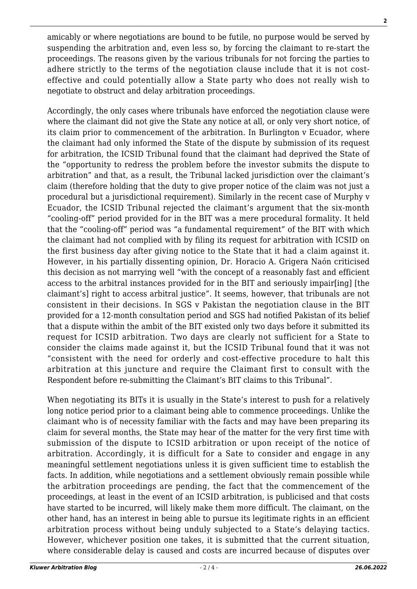amicably or where negotiations are bound to be futile, no purpose would be served by suspending the arbitration and, even less so, by forcing the claimant to re-start the proceedings. The reasons given by the various tribunals for not forcing the parties to adhere strictly to the terms of the negotiation clause include that it is not costeffective and could potentially allow a State party who does not really wish to negotiate to obstruct and delay arbitration proceedings.

Accordingly, the only cases where tribunals have enforced the negotiation clause were where the claimant did not give the State any notice at all, or only very short notice, of its claim prior to commencement of the arbitration. In Burlington v Ecuador, where the claimant had only informed the State of the dispute by submission of its request for arbitration, the ICSID Tribunal found that the claimant had deprived the State of the "opportunity to redress the problem before the investor submits the dispute to arbitration" and that, as a result, the Tribunal lacked jurisdiction over the claimant's claim (therefore holding that the duty to give proper notice of the claim was not just a procedural but a jurisdictional requirement). Similarly in the recent case of Murphy v Ecuador, the ICSID Tribunal rejected the claimant's argument that the six-month "cooling-off" period provided for in the BIT was a mere procedural formality. It held that the "cooling-off" period was "a fundamental requirement" of the BIT with which the claimant had not complied with by filing its request for arbitration with ICSID on the first business day after giving notice to the State that it had a claim against it. However, in his partially dissenting opinion, Dr. Horacio A. Grigera Naón criticised this decision as not marrying well "with the concept of a reasonably fast and efficient access to the arbitral instances provided for in the BIT and seriously impair[ing] [the claimant's] right to access arbitral justice". It seems, however, that tribunals are not consistent in their decisions. In SGS v Pakistan the negotiation clause in the BIT provided for a 12-month consultation period and SGS had notified Pakistan of its belief that a dispute within the ambit of the BIT existed only two days before it submitted its request for ICSID arbitration. Two days are clearly not sufficient for a State to consider the claims made against it, but the ICSID Tribunal found that it was not "consistent with the need for orderly and cost-effective procedure to halt this arbitration at this juncture and require the Claimant first to consult with the Respondent before re-submitting the Claimant's BIT claims to this Tribunal".

When negotiating its BITs it is usually in the State's interest to push for a relatively long notice period prior to a claimant being able to commence proceedings. Unlike the claimant who is of necessity familiar with the facts and may have been preparing its claim for several months, the State may hear of the matter for the very first time with submission of the dispute to ICSID arbitration or upon receipt of the notice of arbitration. Accordingly, it is difficult for a Sate to consider and engage in any meaningful settlement negotiations unless it is given sufficient time to establish the facts. In addition, while negotiations and a settlement obviously remain possible while the arbitration proceedings are pending, the fact that the commencement of the proceedings, at least in the event of an ICSID arbitration, is publicised and that costs have started to be incurred, will likely make them more difficult. The claimant, on the other hand, has an interest in being able to pursue its legitimate rights in an efficient arbitration process without being unduly subjected to a State's delaying tactics. However, whichever position one takes, it is submitted that the current situation, where considerable delay is caused and costs are incurred because of disputes over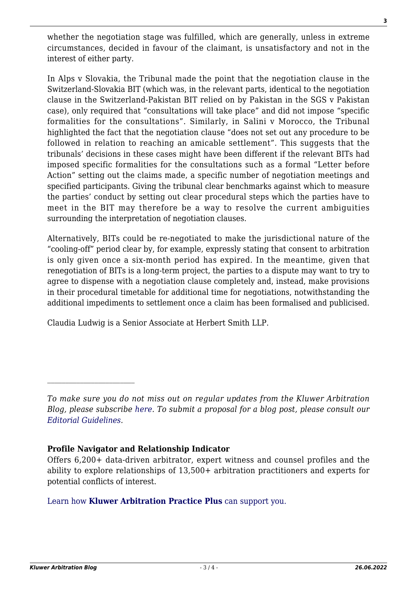whether the negotiation stage was fulfilled, which are generally, unless in extreme circumstances, decided in favour of the claimant, is unsatisfactory and not in the interest of either party.

In Alps v Slovakia, the Tribunal made the point that the negotiation clause in the Switzerland-Slovakia BIT (which was, in the relevant parts, identical to the negotiation clause in the Switzerland-Pakistan BIT relied on by Pakistan in the SGS v Pakistan case), only required that "consultations will take place" and did not impose "specific formalities for the consultations". Similarly, in Salini v Morocco, the Tribunal highlighted the fact that the negotiation clause "does not set out any procedure to be followed in relation to reaching an amicable settlement". This suggests that the tribunals' decisions in these cases might have been different if the relevant BITs had imposed specific formalities for the consultations such as a formal "Letter before Action" setting out the claims made, a specific number of negotiation meetings and specified participants. Giving the tribunal clear benchmarks against which to measure the parties' conduct by setting out clear procedural steps which the parties have to meet in the BIT may therefore be a way to resolve the current ambiguities surrounding the interpretation of negotiation clauses.

Alternatively, BITs could be re-negotiated to make the jurisdictional nature of the "cooling-off" period clear by, for example, expressly stating that consent to arbitration is only given once a six-month period has expired. In the meantime, given that renegotiation of BITs is a long-term project, the parties to a dispute may want to try to agree to dispense with a negotiation clause completely and, instead, make provisions in their procedural timetable for additional time for negotiations, notwithstanding the additional impediments to settlement once a claim has been formalised and publicised.

Claudia Ludwig is a Senior Associate at Herbert Smith LLP.

## **Profile Navigator and Relationship Indicator**

## [Learn how](https://www.wolterskluwer.com/en/solutions/kluwerarbitration/practiceplus?utm_source=arbitrationblog&utm_medium=articleCTA&utm_campaign=article-banner) **[Kluwer Arbitration Practice Plus](https://www.wolterskluwer.com/en/solutions/kluwerarbitration/practiceplus?utm_source=arbitrationblog&utm_medium=articleCTA&utm_campaign=article-banner)** [can support you.](https://www.wolterskluwer.com/en/solutions/kluwerarbitration/practiceplus?utm_source=arbitrationblog&utm_medium=articleCTA&utm_campaign=article-banner)

*To make sure you do not miss out on regular updates from the Kluwer Arbitration Blog, please subscribe [here](http://arbitrationblog.kluwerarbitration.com/newsletter/). To submit a proposal for a blog post, please consult our [Editorial Guidelines.](http://arbitrationblog.kluwerarbitration.com/editorial-guidelines/)*

Offers 6,200+ data-driven arbitrator, expert witness and counsel profiles and the ability to explore relationships of 13,500+ arbitration practitioners and experts for potential conflicts of interest.